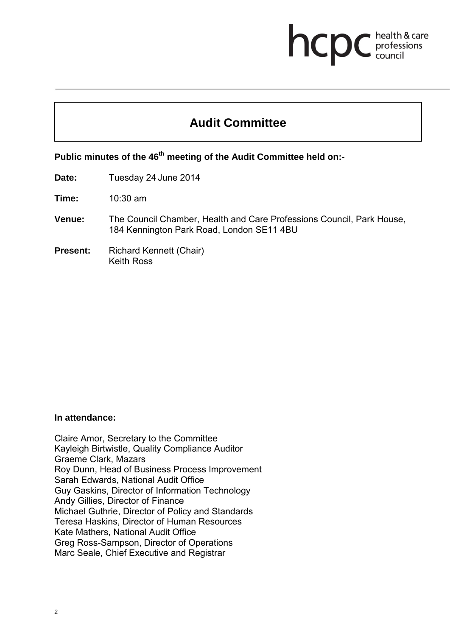# health & care hcp professions<br>council

# **Audit Committee**

Public minutes of the 46<sup>th</sup> meeting of the Audit Committee held on:-

**Date:** Tuesday 24 June 2014

**Time:** 10:30 am

- **Venue:** The Council Chamber, Health and Care Professions Council, Park House, 184 Kennington Park Road, London SE11 4BU
- **Present:** Richard Kennett (Chair) Keith Ross

#### **In attendance:**

Claire Amor, Secretary to the Committee Kayleigh Birtwistle, Quality Compliance Auditor Graeme Clark, Mazars Roy Dunn, Head of Business Process Improvement Sarah Edwards, National Audit Office Guy Gaskins, Director of Information Technology Andy Gillies, Director of Finance Michael Guthrie, Director of Policy and Standards Teresa Haskins, Director of Human Resources Kate Mathers, National Audit Office Greg Ross-Sampson, Director of Operations Marc Seale, Chief Executive and Registrar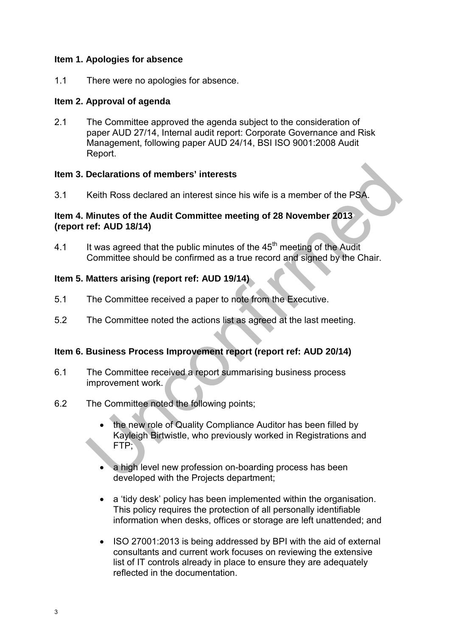## **Item 1. Apologies for absence**

1.1 There were no apologies for absence.

# **Item 2. Approval of agenda**

2.1 The Committee approved the agenda subject to the consideration of paper AUD 27/14, Internal audit report: Corporate Governance and Risk Management, following paper AUD 24/14, BSI ISO 9001:2008 Audit Report.

# **Item 3. Declarations of members' interests**

3.1 Keith Ross declared an interest since his wife is a member of the PSA.

## **Item 4. Minutes of the Audit Committee meeting of 28 November 2013 (report ref: AUD 18/14)**

4.1 It was agreed that the public minutes of the  $45<sup>th</sup>$  meeting of the Audit Committee should be confirmed as a true record and signed by the Chair.

# **Item 5. Matters arising (report ref: AUD 19/14)**

- 5.1 The Committee received a paper to note from the Executive.
- 5.2 The Committee noted the actions list as agreed at the last meeting.

# **Item 6. Business Process Improvement report (report ref: AUD 20/14)**

- 6.1 The Committee received a report summarising business process improvement work.
- 6.2 The Committee noted the following points;
	- the new role of Quality Compliance Auditor has been filled by Kayleigh Birtwistle, who previously worked in Registrations and FTP;
	- a high level new profession on-boarding process has been developed with the Projects department;
	- a 'tidy desk' policy has been implemented within the organisation. This policy requires the protection of all personally identifiable information when desks, offices or storage are left unattended; and
	- ISO 27001:2013 is being addressed by BPI with the aid of external consultants and current work focuses on reviewing the extensive list of IT controls already in place to ensure they are adequately reflected in the documentation.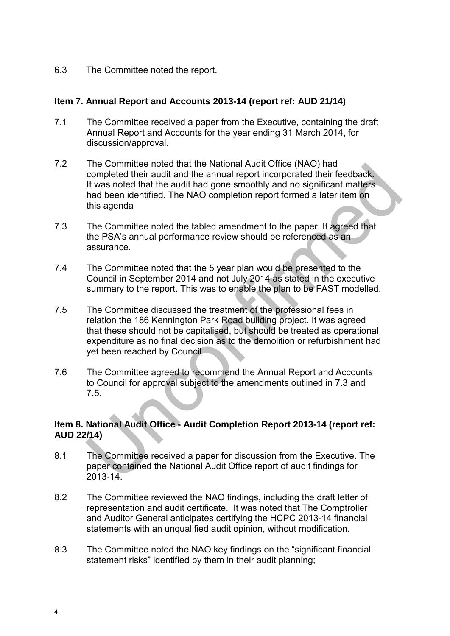6.3 The Committee noted the report.

#### **Item 7. Annual Report and Accounts 2013-14 (report ref: AUD 21/14)**

- 7.1 The Committee received a paper from the Executive, containing the draft Annual Report and Accounts for the year ending 31 March 2014, for discussion/approval.
- 7.2 The Committee noted that the National Audit Office (NAO) had completed their audit and the annual report incorporated their feedback. It was noted that the audit had gone smoothly and no significant matters had been identified. The NAO completion report formed a later item on this agenda
- 7.3 The Committee noted the tabled amendment to the paper. It agreed that the PSA's annual performance review should be referenced as an assurance.
- 7.4 The Committee noted that the 5 year plan would be presented to the Council in September 2014 and not July 2014 as stated in the executive summary to the report. This was to enable the plan to be FAST modelled.
- 7.5 The Committee discussed the treatment of the professional fees in relation the 186 Kennington Park Road building project. It was agreed that these should not be capitalised, but should be treated as operational expenditure as no final decision as to the demolition or refurbishment had yet been reached by Council.
- 7.6 The Committee agreed to recommend the Annual Report and Accounts to Council for approval subject to the amendments outlined in 7.3 and 7.5.

# **Item 8. National Audit Office - Audit Completion Report 2013-14 (report ref: AUD 22/14)**

- 8.1 The Committee received a paper for discussion from the Executive. The paper contained the National Audit Office report of audit findings for 2013-14.
- 8.2 The Committee reviewed the NAO findings, including the draft letter of representation and audit certificate. It was noted that The Comptroller and Auditor General anticipates certifying the HCPC 2013-14 financial statements with an unqualified audit opinion, without modification.
- 8.3 The Committee noted the NAO key findings on the "significant financial statement risks" identified by them in their audit planning;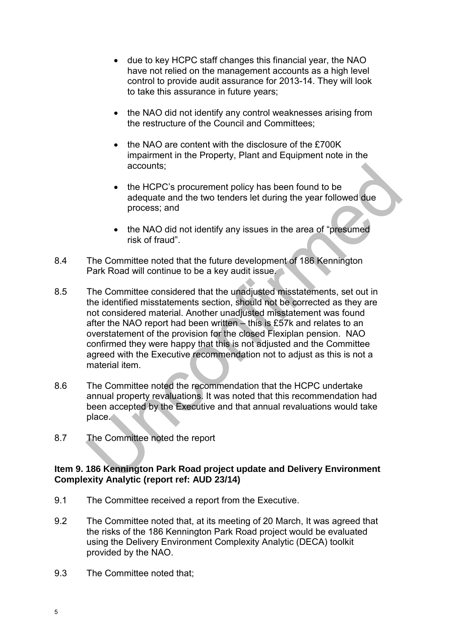- due to key HCPC staff changes this financial year, the NAO have not relied on the management accounts as a high level control to provide audit assurance for 2013-14. They will look to take this assurance in future years;
- the NAO did not identify any control weaknesses arising from the restructure of the Council and Committees;
- the NAO are content with the disclosure of the £700K impairment in the Property, Plant and Equipment note in the accounts;
- the HCPC's procurement policy has been found to be adequate and the two tenders let during the year followed due process; and
- the NAO did not identify any issues in the area of "presumed" risk of fraud".
- 8.4 The Committee noted that the future development of 186 Kennington Park Road will continue to be a key audit issue.
- 8.5 The Committee considered that the unadjusted misstatements, set out in the identified misstatements section, should not be corrected as they are not considered material. Another unadjusted misstatement was found after the NAO report had been written – this is £57k and relates to an overstatement of the provision for the closed Flexiplan pension. NAO confirmed they were happy that this is not adjusted and the Committee agreed with the Executive recommendation not to adjust as this is not a material item.
- 8.6 The Committee noted the recommendation that the HCPC undertake annual property revaluations. It was noted that this recommendation had been accepted by the Executive and that annual revaluations would take place.
- 8.7 The Committee noted the report

### **Item 9. 186 Kennington Park Road project update and Delivery Environment Complexity Analytic (report ref: AUD 23/14)**

- 9.1 The Committee received a report from the Executive.
- 9.2 The Committee noted that, at its meeting of 20 March, It was agreed that the risks of the 186 Kennington Park Road project would be evaluated using the Delivery Environment Complexity Analytic (DECA) toolkit provided by the NAO.
- 9.3 The Committee noted that;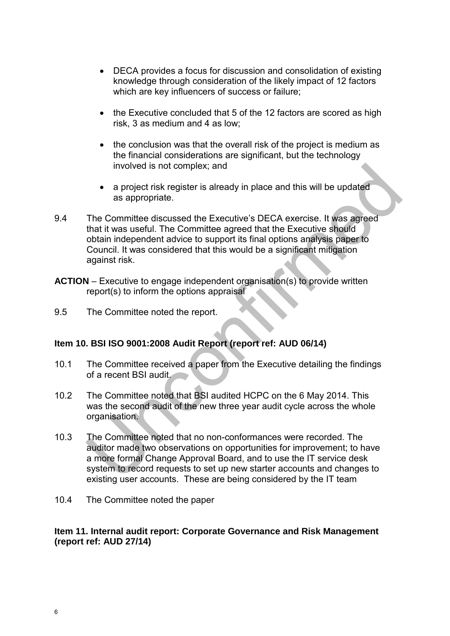- DECA provides a focus for discussion and consolidation of existing knowledge through consideration of the likely impact of 12 factors which are key influencers of success or failure;
- the Executive concluded that 5 of the 12 factors are scored as high risk, 3 as medium and 4 as low;
- the conclusion was that the overall risk of the project is medium as the financial considerations are significant, but the technology involved is not complex; and
- a project risk register is already in place and this will be updated as appropriate.
- 9.4 The Committee discussed the Executive's DECA exercise. It was agreed that it was useful. The Committee agreed that the Executive should obtain independent advice to support its final options analysis paper to Council. It was considered that this would be a significant mitigation against risk.
- **ACTION**  Executive to engage independent organisation(s) to provide written report(s) to inform the options appraisal
- 9.5 The Committee noted the report.

### **Item 10. BSI ISO 9001:2008 Audit Report (report ref: AUD 06/14)**

- 10.1 The Committee received a paper from the Executive detailing the findings of a recent BSI audit.
- 10.2 The Committee noted that BSI audited HCPC on the 6 May 2014. This was the second audit of the new three year audit cycle across the whole organisation.
- 10.3 The Committee noted that no non-conformances were recorded. The auditor made two observations on opportunities for improvement; to have a more formal Change Approval Board, and to use the IT service desk system to record requests to set up new starter accounts and changes to existing user accounts. These are being considered by the IT team
- 10.4 The Committee noted the paper

### **Item 11. Internal audit report: Corporate Governance and Risk Management (report ref: AUD 27/14)**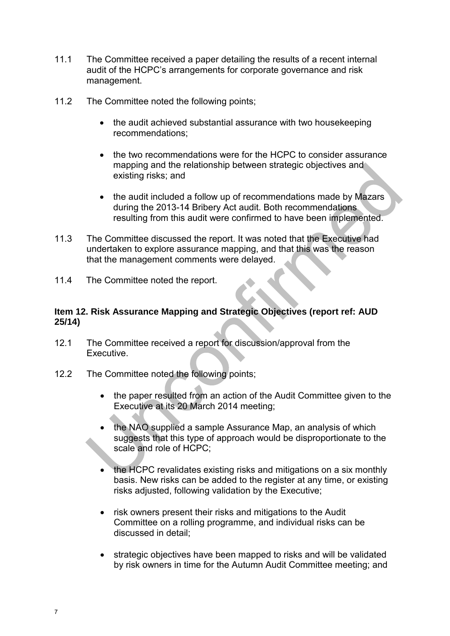- 11.1 The Committee received a paper detailing the results of a recent internal audit of the HCPC's arrangements for corporate governance and risk management.
- 11.2 The Committee noted the following points;
	- the audit achieved substantial assurance with two housekeeping recommendations;
	- the two recommendations were for the HCPC to consider assurance mapping and the relationship between strategic objectives and existing risks; and
	- the audit included a follow up of recommendations made by Mazars during the 2013-14 Bribery Act audit. Both recommendations resulting from this audit were confirmed to have been implemented.
- 11.3 The Committee discussed the report. It was noted that the Executive had undertaken to explore assurance mapping, and that this was the reason that the management comments were delayed.
- 11.4 The Committee noted the report.

#### **Item 12. Risk Assurance Mapping and Strategic Objectives (report ref: AUD 25/14)**

- 12.1 The Committee received a report for discussion/approval from the **Executive**
- 12.2 The Committee noted the following points;
	- the paper resulted from an action of the Audit Committee given to the Executive at its 20 March 2014 meeting;
	- the NAO supplied a sample Assurance Map, an analysis of which suggests that this type of approach would be disproportionate to the scale and role of HCPC;
	- the HCPC revalidates existing risks and mitigations on a six monthly basis. New risks can be added to the register at any time, or existing risks adjusted, following validation by the Executive;
	- risk owners present their risks and mitigations to the Audit Committee on a rolling programme, and individual risks can be discussed in detail;
	- strategic objectives have been mapped to risks and will be validated by risk owners in time for the Autumn Audit Committee meeting; and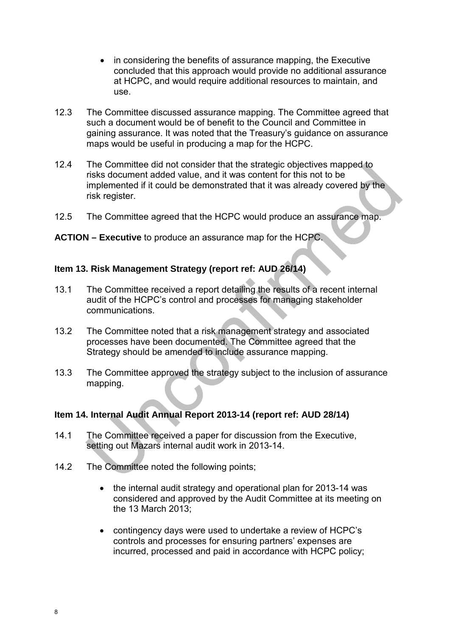- in considering the benefits of assurance mapping, the Executive concluded that this approach would provide no additional assurance at HCPC, and would require additional resources to maintain, and use.
- 12.3 The Committee discussed assurance mapping. The Committee agreed that such a document would be of benefit to the Council and Committee in gaining assurance. It was noted that the Treasury's guidance on assurance maps would be useful in producing a map for the HCPC.
- 12.4 The Committee did not consider that the strategic objectives mapped to risks document added value, and it was content for this not to be implemented if it could be demonstrated that it was already covered by the risk register.
- 12.5 The Committee agreed that the HCPC would produce an assurance map.

#### **ACTION – Executive** to produce an assurance map for the HCPC.

## **Item 13. Risk Management Strategy (report ref: AUD 26/14)**

- 13.1 The Committee received a report detailing the results of a recent internal audit of the HCPC's control and processes for managing stakeholder communications.
- 13.2 The Committee noted that a risk management strategy and associated processes have been documented. The Committee agreed that the Strategy should be amended to include assurance mapping.
- 13.3 The Committee approved the strategy subject to the inclusion of assurance mapping.

# **Item 14. Internal Audit Annual Report 2013-14 (report ref: AUD 28/14)**

- 14.1 The Committee received a paper for discussion from the Executive, setting out Mazars internal audit work in 2013-14.
- 14.2 The Committee noted the following points;
	- the internal audit strategy and operational plan for 2013-14 was considered and approved by the Audit Committee at its meeting on the 13 March  $2013$
	- contingency days were used to undertake a review of HCPC's controls and processes for ensuring partners' expenses are incurred, processed and paid in accordance with HCPC policy;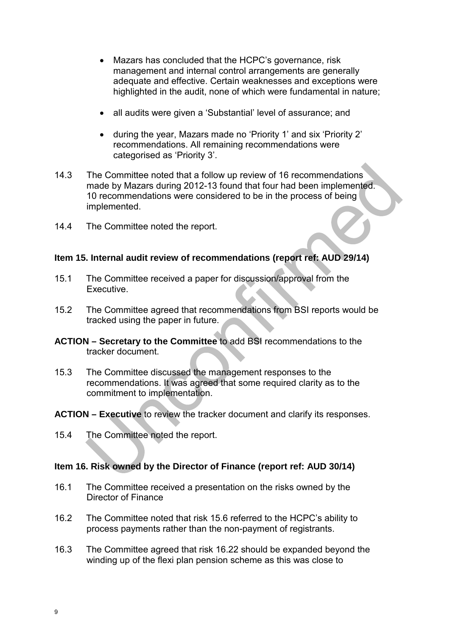- Mazars has concluded that the HCPC's governance, risk management and internal control arrangements are generally adequate and effective. Certain weaknesses and exceptions were highlighted in the audit, none of which were fundamental in nature;
- all audits were given a 'Substantial' level of assurance; and
- during the year, Mazars made no 'Priority 1' and six 'Priority 2' recommendations. All remaining recommendations were categorised as 'Priority 3'.
- 14.3 The Committee noted that a follow up review of 16 recommendations made by Mazars during 2012-13 found that four had been implemented. 10 recommendations were considered to be in the process of being implemented.
- 14.4 The Committee noted the report.

#### **Item 15. Internal audit review of recommendations (report ref: AUD 29/14)**

- 15.1 The Committee received a paper for discussion/approval from the Executive.
- 15.2 The Committee agreed that recommendations from BSI reports would be tracked using the paper in future.
- **ACTION Secretary to the Committee** to add BSI recommendations to the tracker document.
- 15.3 The Committee discussed the management responses to the recommendations. It was agreed that some required clarity as to the commitment to implementation.
- **ACTION Executive** to review the tracker document and clarify its responses.
- 15.4 The Committee noted the report.

### **Item 16. Risk owned by the Director of Finance (report ref: AUD 30/14)**

- 16.1 The Committee received a presentation on the risks owned by the Director of Finance
- 16.2 The Committee noted that risk 15.6 referred to the HCPC's ability to process payments rather than the non-payment of registrants.
- 16.3 The Committee agreed that risk 16.22 should be expanded beyond the winding up of the flexi plan pension scheme as this was close to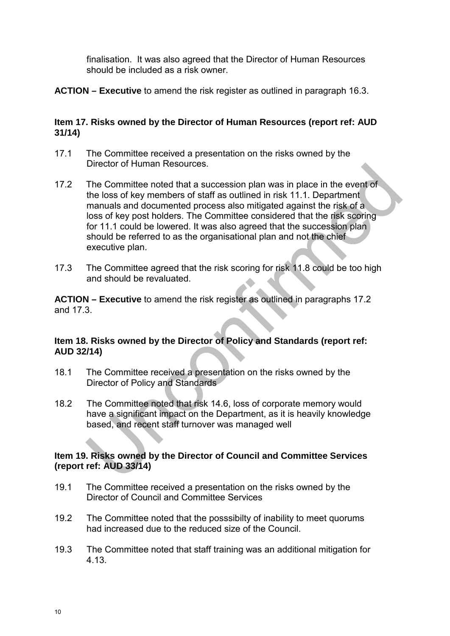finalisation. It was also agreed that the Director of Human Resources should be included as a risk owner.

**ACTION – Executive** to amend the risk register as outlined in paragraph 16.3.

# **Item 17. Risks owned by the Director of Human Resources (report ref: AUD 31/14)**

- 17.1 The Committee received a presentation on the risks owned by the Director of Human Resources.
- 17.2 The Committee noted that a succession plan was in place in the event of the loss of key members of staff as outlined in risk 11.1. Department manuals and documented process also mitigated against the risk of a loss of key post holders. The Committee considered that the risk scoring for 11.1 could be lowered. It was also agreed that the succession plan should be referred to as the organisational plan and not the chief executive plan.
- 17.3 The Committee agreed that the risk scoring for risk 11.8 could be too high and should be revaluated.

**ACTION – Executive** to amend the risk register as outlined in paragraphs 17.2 and 17.3.

# **Item 18. Risks owned by the Director of Policy and Standards (report ref: AUD 32/14)**

- 18.1 The Committee received a presentation on the risks owned by the Director of Policy and Standards
- 18.2 The Committee noted that risk 14.6, loss of corporate memory would have a significant impact on the Department, as it is heavily knowledge based, and recent staff turnover was managed well

# **Item 19. Risks owned by the Director of Council and Committee Services (report ref: AUD 33/14)**

- 19.1 The Committee received a presentation on the risks owned by the Director of Council and Committee Services
- 19.2 The Committee noted that the posssibilty of inability to meet quorums had increased due to the reduced size of the Council.
- 19.3 The Committee noted that staff training was an additional mitigation for 4.13.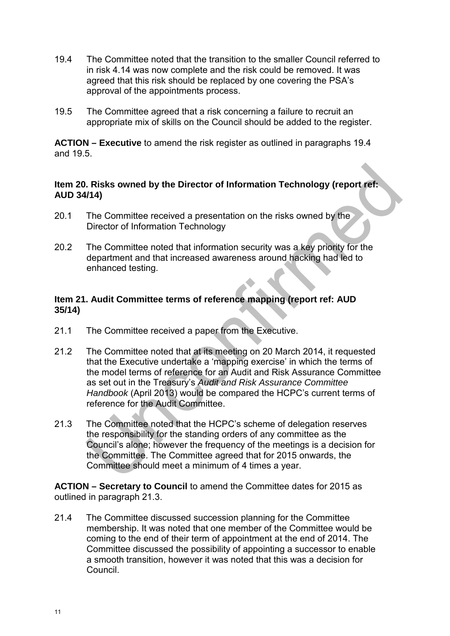- 19.4 The Committee noted that the transition to the smaller Council referred to in risk 4.14 was now complete and the risk could be removed. It was agreed that this risk should be replaced by one covering the PSA's approval of the appointments process.
- 19.5 The Committee agreed that a risk concerning a failure to recruit an appropriate mix of skills on the Council should be added to the register.

**ACTION – Executive** to amend the risk register as outlined in paragraphs 19.4 and 19.5.

#### **Item 20. Risks owned by the Director of Information Technology (report ref: AUD 34/14)**

- 20.1 The Committee received a presentation on the risks owned by the Director of Information Technology
- 20.2 The Committee noted that information security was a key priority for the department and that increased awareness around hacking had led to enhanced testing.

# **Item 21. Audit Committee terms of reference mapping (report ref: AUD 35/14)**

- 21.1 The Committee received a paper from the Executive.
- 21.2 The Committee noted that at its meeting on 20 March 2014, it requested that the Executive undertake a 'mapping exercise' in which the terms of the model terms of reference for an Audit and Risk Assurance Committee as set out in the Treasury's *Audit and Risk Assurance Committee Handbook* (April 2013) would be compared the HCPC's current terms of reference for the Audit Committee.
- 21.3 The Committee noted that the HCPC's scheme of delegation reserves the responsibility for the standing orders of any committee as the Council's alone; however the frequency of the meetings is a decision for the Committee. The Committee agreed that for 2015 onwards, the Committee should meet a minimum of 4 times a year.

**ACTION – Secretary to Council** to amend the Committee dates for 2015 as outlined in paragraph 21.3.

21.4 The Committee discussed succession planning for the Committee membership. It was noted that one member of the Committee would be coming to the end of their term of appointment at the end of 2014. The Committee discussed the possibility of appointing a successor to enable a smooth transition, however it was noted that this was a decision for Council.